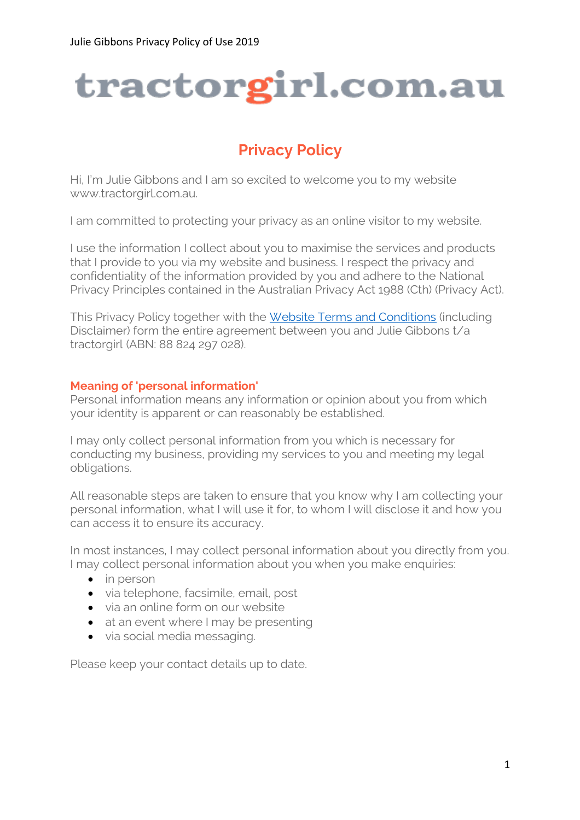# tractorgirl.com.au

# **Privacy Policy**

Hi, I'm Julie Gibbons and I am so excited to welcome you to my website www.tractorgirl.com.au.

I am committed to protecting your privacy as an online visitor to my website.

I use the information I collect about you to maximise the services and products that I provide to you via my website and business. I respect the privacy and confidentiality of the information provided by you and adhere to the National Privacy Principles contained in the Australian Privacy Act 1988 (Cth) (Privacy Act).

This Privacy Policy together with the [Website Terms and Conditions](https://tractorgirl.com.au/website-terms-of-use) (including Disclaimer) form the entire agreement between you and Julie Gibbons t/a tractorgirl (ABN: 88 824 297 028).

# **Meaning of 'personal information'**

Personal information means any information or opinion about you from which your identity is apparent or can reasonably be established.

I may only collect personal information from you which is necessary for conducting my business, providing my services to you and meeting my legal obligations.

All reasonable steps are taken to ensure that you know why I am collecting your personal information, what I will use it for, to whom I will disclose it and how you can access it to ensure its accuracy.

In most instances, I may collect personal information about you directly from you. I may collect personal information about you when you make enquiries:

- in person
- via telephone, facsimile, email, post
- via an online form on our website
- at an event where I may be presenting
- via social media messaging.

Please keep your contact details up to date.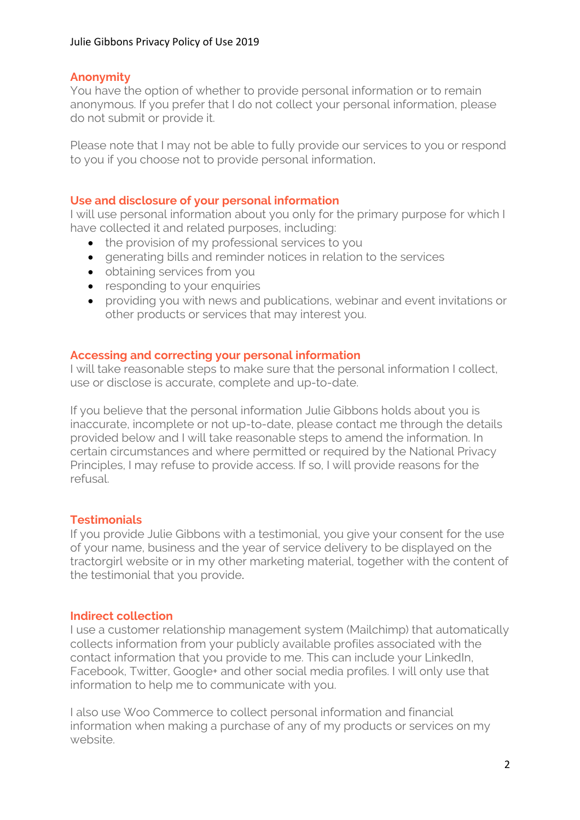# **Anonymity**

You have the option of whether to provide personal information or to remain anonymous. If you prefer that I do not collect your personal information, please do not submit or provide it.

Please note that I may not be able to fully provide our services to you or respond to you if you choose not to provide personal information.

# **Use and disclosure of your personal information**

I will use personal information about you only for the primary purpose for which I have collected it and related purposes, including:

- the provision of my professional services to you
- generating bills and reminder notices in relation to the services
- obtaining services from you
- responding to your enquiries
- providing you with news and publications, webinar and event invitations or other products or services that may interest you.

## **Accessing and correcting your personal information**

I will take reasonable steps to make sure that the personal information I collect, use or disclose is accurate, complete and up-to-date.

If you believe that the personal information Julie Gibbons holds about you is inaccurate, incomplete or not up-to-date, please contact me through the details provided below and I will take reasonable steps to amend the information. In certain circumstances and where permitted or required by the National Privacy Principles, I may refuse to provide access. If so, I will provide reasons for the refusal.

# **Testimonials**

If you provide Julie Gibbons with a testimonial, you give your consent for the use of your name, business and the year of service delivery to be displayed on the tractorgirl website or in my other marketing material, together with the content of the testimonial that you provide.

## **Indirect collection**

I use a customer relationship management system (Mailchimp) that automatically collects information from your publicly available profiles associated with the contact information that you provide to me. This can include your LinkedIn, Facebook, Twitter, Google+ and other social media profiles. I will only use that information to help me to communicate with you.

I also use Woo Commerce to collect personal information and financial information when making a purchase of any of my products or services on my website.